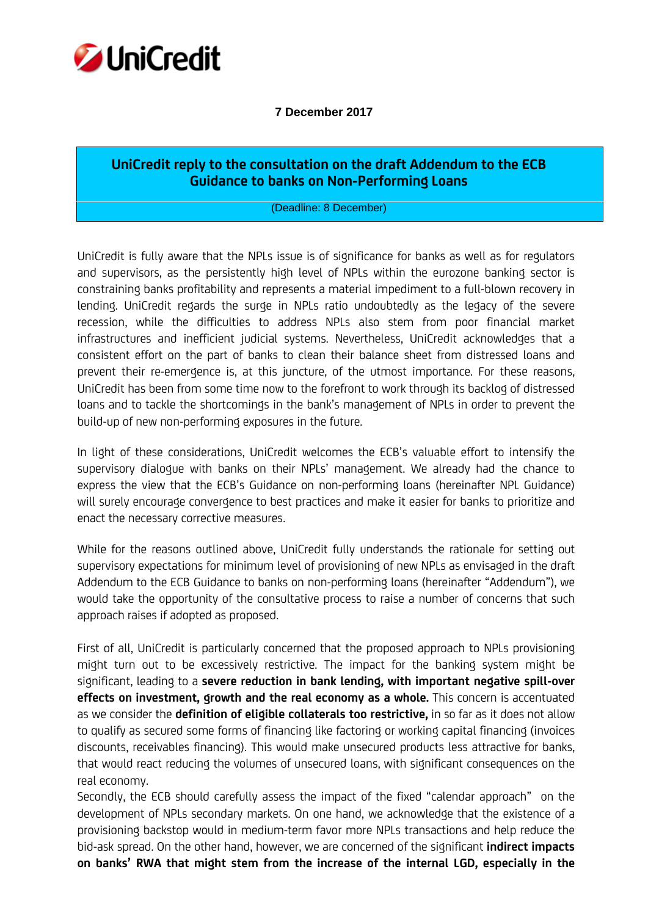

## **7 December 2017**

## **UniCredit reply to the consultation on the draft Addendum to the ECB Guidance to banks on Non-Performing Loans**

(Deadline: 8 December)

UniCredit is fully aware that the NPLs issue is of significance for banks as well as for regulators and supervisors, as the persistently high level of NPLs within the eurozone banking sector is constraining banks profitability and represents a material impediment to a full-blown recovery in lending. UniCredit regards the surge in NPLs ratio undoubtedly as the legacy of the severe recession, while the difficulties to address NPLs also stem from poor financial market infrastructures and inefficient judicial systems. Nevertheless, UniCredit acknowledges that a consistent effort on the part of banks to clean their balance sheet from distressed loans and prevent their re-emergence is, at this juncture, of the utmost importance. For these reasons, UniCredit has been from some time now to the forefront to work through its backlog of distressed loans and to tackle the shortcomings in the bank's management of NPLs in order to prevent the build-up of new non-performing exposures in the future.

In light of these considerations, UniCredit welcomes the ECB's valuable effort to intensify the supervisory dialogue with banks on their NPLs' management. We already had the chance to express the view that the ECB's Guidance on non-performing loans (hereinafter NPL Guidance) will surely encourage convergence to best practices and make it easier for banks to prioritize and enact the necessary corrective measures.

While for the reasons outlined above, UniCredit fully understands the rationale for setting out supervisory expectations for minimum level of provisioning of new NPLs as envisaged in the draft Addendum to the ECB Guidance to banks on non-performing loans (hereinafter "Addendum"), we would take the opportunity of the consultative process to raise a number of concerns that such approach raises if adopted as proposed.

First of all, UniCredit is particularly concerned that the proposed approach to NPLs provisioning might turn out to be excessively restrictive. The impact for the banking system might be significant, leading to a **severe reduction in bank lending, with important negative spill-over effects on investment, growth and the real economy as a whole.** This concern is accentuated as we consider the **definition of eligible collaterals too restrictive,** in so far as it does not allow to qualify as secured some forms of financing like factoring or working capital financing (invoices discounts, receivables financing). This would make unsecured products less attractive for banks, that would react reducing the volumes of unsecured loans, with significant consequences on the real economy.

Secondly, the ECB should carefully assess the impact of the fixed "calendar approach" on the development of NPLs secondary markets. On one hand, we acknowledge that the existence of a provisioning backstop would in medium-term favor more NPLs transactions and help reduce the bid-ask spread. On the other hand, however, we are concerned of the significant **indirect impacts on banks' RWA that might stem from the increase of the internal LGD, especially in the**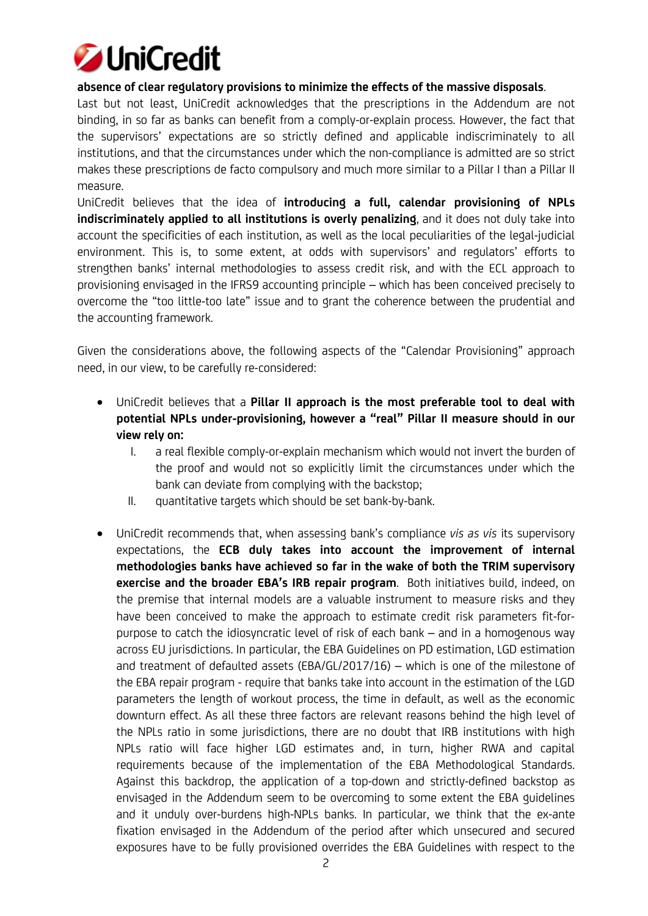

## **absence of clear regulatory provisions to minimize the effects of the massive disposals**.

Last but not least, UniCredit acknowledges that the prescriptions in the Addendum are not binding, in so far as banks can benefit from a comply-or-explain process. However, the fact that the supervisors' expectations are so strictly defined and applicable indiscriminately to all institutions, and that the circumstances under which the non-compliance is admitted are so strict makes these prescriptions de facto compulsory and much more similar to a Pillar I than a Pillar II measure.

UniCredit believes that the idea of **introducing a full, calendar provisioning of NPLs indiscriminately applied to all institutions is overly penalizing**, and it does not duly take into account the specificities of each institution, as well as the local peculiarities of the legal-judicial environment. This is, to some extent, at odds with supervisors' and regulators' efforts to strengthen banks' internal methodologies to assess credit risk, and with the ECL approach to provisioning envisaged in the IFRS9 accounting principle – which has been conceived precisely to overcome the "too little-too late" issue and to grant the coherence between the prudential and the accounting framework.

Given the considerations above, the following aspects of the "Calendar Provisioning" approach need, in our view, to be carefully re-considered:

- UniCredit believes that a **Pillar II approach is the most preferable tool to deal with potential NPLs under-provisioning, however a "real" Pillar II measure should in our view rely on:**
	- I. a real flexible comply-or-explain mechanism which would not invert the burden of the proof and would not so explicitly limit the circumstances under which the bank can deviate from complying with the backstop;
	- II. quantitative targets which should be set bank-by-bank.
- UniCredit recommends that, when assessing bank's compliance *vis as vis* its supervisory expectations, the **ECB duly takes into account the improvement of internal methodologies banks have achieved so far in the wake of both the TRIM supervisory exercise and the broader EBA's IRB repair program**. Both initiatives build, indeed, on the premise that internal models are a valuable instrument to measure risks and they have been conceived to make the approach to estimate credit risk parameters fit-forpurpose to catch the idiosyncratic level of risk of each bank – and in a homogenous way across EU jurisdictions. In particular, the EBA Guidelines on PD estimation, LGD estimation and treatment of defaulted assets (EBA/GL/2017/16) – which is one of the milestone of the EBA repair program - require that banks take into account in the estimation of the LGD parameters the length of workout process, the time in default, as well as the economic downturn effect. As all these three factors are relevant reasons behind the high level of the NPLs ratio in some jurisdictions, there are no doubt that IRB institutions with high NPLs ratio will face higher LGD estimates and, in turn, higher RWA and capital requirements because of the implementation of the EBA Methodological Standards. Against this backdrop, the application of a top-down and strictly-defined backstop as envisaged in the Addendum seem to be overcoming to some extent the EBA guidelines and it unduly over-burdens high-NPLs banks. In particular, we think that the ex-ante fixation envisaged in the Addendum of the period after which unsecured and secured exposures have to be fully provisioned overrides the EBA Guidelines with respect to the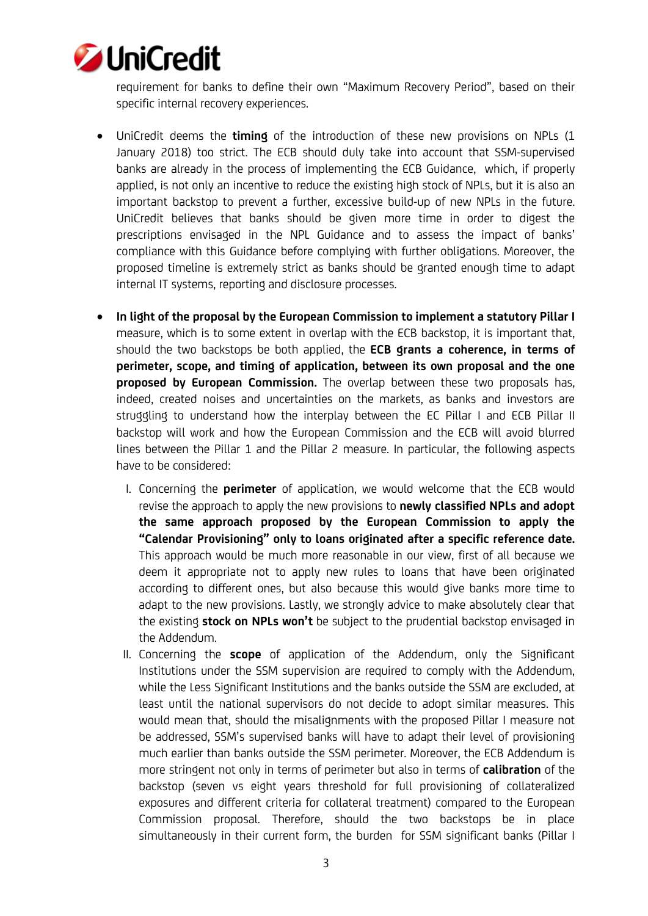

requirement for banks to define their own "Maximum Recovery Period", based on their specific internal recovery experiences.

- UniCredit deems the **timing** of the introduction of these new provisions on NPLs (1 January 2018) too strict. The ECB should duly take into account that SSM-supervised banks are already in the process of implementing the ECB Guidance, which, if properly applied, is not only an incentive to reduce the existing high stock of NPLs, but it is also an important backstop to prevent a further, excessive build-up of new NPLs in the future. UniCredit believes that banks should be given more time in order to digest the prescriptions envisaged in the NPL Guidance and to assess the impact of banks' compliance with this Guidance before complying with further obligations. Moreover, the proposed timeline is extremely strict as banks should be granted enough time to adapt internal IT systems, reporting and disclosure processes.
- **In light of the proposal by the European Commission to implement a statutory Pillar I** measure, which is to some extent in overlap with the ECB backstop, it is important that, should the two backstops be both applied, the **ECB grants a coherence, in terms of perimeter, scope, and timing of application, between its own proposal and the one proposed by European Commission.** The overlap between these two proposals has, indeed, created noises and uncertainties on the markets, as banks and investors are struggling to understand how the interplay between the EC Pillar I and ECB Pillar II backstop will work and how the European Commission and the ECB will avoid blurred lines between the Pillar 1 and the Pillar 2 measure. In particular, the following aspects have to be considered:
	- I. Concerning the **perimeter** of application, we would welcome that the ECB would revise the approach to apply the new provisions to **newly classified NPLs and adopt the same approach proposed by the European Commission to apply the "Calendar Provisioning" only to loans originated after a specific reference date.** This approach would be much more reasonable in our view, first of all because we deem it appropriate not to apply new rules to loans that have been originated according to different ones, but also because this would give banks more time to adapt to the new provisions. Lastly, we strongly advice to make absolutely clear that the existing **stock on NPLs won't** be subject to the prudential backstop envisaged in the Addendum.
	- II. Concerning the **scope** of application of the Addendum, only the Significant Institutions under the SSM supervision are required to comply with the Addendum, while the Less Significant Institutions and the banks outside the SSM are excluded, at least until the national supervisors do not decide to adopt similar measures. This would mean that, should the misalignments with the proposed Pillar I measure not be addressed, SSM's supervised banks will have to adapt their level of provisioning much earlier than banks outside the SSM perimeter. Moreover, the ECB Addendum is more stringent not only in terms of perimeter but also in terms of **calibration** of the backstop (seven vs eight years threshold for full provisioning of collateralized exposures and different criteria for collateral treatment) compared to the European Commission proposal. Therefore, should the two backstops be in place simultaneously in their current form, the burden for SSM significant banks (Pillar I